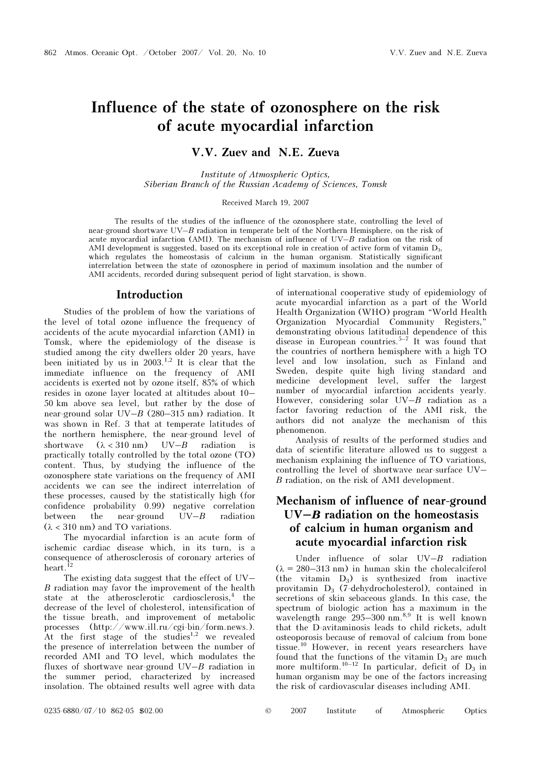# Influence of the state of ozonosphere on the risk of acute myocardial infarction

## V.V. Zuev and N.E. Zueva

Institute of Atmospheric Optics, Siberian Branch of the Russian Academy of Sciences, Tomsk

### Received March 19, 2007

The results of the studies of the influence of the ozonosphere state, controlling the level of near-ground shortwave UV–B radiation in temperate belt of the Northern Hemisphere, on the risk of acute myocardial infarction (AMI). The mechanism of influence of  $UV-B$  radiation on the risk of AMI development is suggested, based on its exceptional role in creation of active form of vitamin  $D_3$ , which regulates the homeostasis of calcium in the human organism. Statistically significant interrelation between the state of ozonosphere in period of maximum insolation and the number of AMI accidents, recorded during subsequent period of light starvation, is shown.

### Introduction

Studies of the problem of how the variations of the level of total ozone influence the frequency of accidents of the acute myocardial infarction (AMI) in Tomsk, where the epidemiology of the disease is studied among the city dwellers older 20 years, have been initiated by us in  $2003$ .<sup>1,2</sup> It is clear that the immediate influence on the frequency of AMI accidents is exerted not by ozone itself, 85% of which resides in ozone layer located at altitudes about 10– 50 km above sea level, but rather by the dose of near-ground solar  $UV-B(280-315)$  nm radiation. It was shown in Ref. 3 that at temperate latitudes of the northern hemisphere, the near-ground level of shortwave  $(\lambda < 310 \text{ nm})$  UV–*B* radiation practically totally controlled by the total ozone (TO) content. Thus, by studying the influence of the ozonosphere state variations on the frequency of AMI accidents we can see the indirect interrelation of these processes, caused by the statistically high (for confidence probability 0.99) negative correlation between the near-ground  $UV-B$  radiation  $(\lambda < 310 \text{ nm})$  and TO variations.

The myocardial infarction is an acute form of ischemic cardiac disease which, in its turn, is a consequence of atherosclerosis of coronary arteries of heart.<sup>12</sup>

The existing data suggest that the effect of UV–  $B$  radiation may favor the improvement of the health state at the atherosclerotic cardiosclerosis,<sup>4</sup> the decrease of the level of cholesterol, intensification of the tissue breath, and improvement of metabolic processes (http://www.ill.ru/cgi-bin/form.news.). At the first stage of the studies<sup>1,2</sup> we revealed the presence of interrelation between the number of recorded AMI and TO level, which modulates the fluxes of shortwave near-ground  $UV-B$  radiation in the summer period, characterized by increased insolation. The obtained results well agree with data

of international cooperative study of epidemiology of acute myocardial infarction as a part of the World Health Organization (WHO) program "World Health Organization Myocardial Community Registers," demonstrating obvious latitudinal dependence of this disease in European countries.<sup>5–7</sup> It was found that the countries of northern hemisphere with a high TO level and low insolation, such as Finland and Sweden, despite quite high living standard and medicine development level, suffer the largest number of myocardial infarction accidents yearly. However, considering solar  $UV-B$  radiation as a factor favoring reduction of the AMI risk, the authors did not analyze the mechanism of this phenomenon.

Analysis of results of the performed studies and data of scientific literature allowed us to suggest a mechanism explaining the influence of TO variations, controlling the level of shortwave near-surface UV– Â radiation, on the risk of AMI development.

# Mechanism of influence of near-ground  $UV-B$  radiation on the homeostasis of calcium in human organism and acute myocardial infarction risk

Under influence of solar  $UV-B$  radiation  $(\lambda = 280-313 \text{ nm})$  in human skin the cholecalciferol (the vitamin  $D_3$ ) is synthesized from inactive provitamin D3 (7-dehydrocholesterol), contained in secretions of skin sebaceous glands. In this case, the spectrum of biologic action has a maximum in the wavelength range  $295-300$  nm.<sup>8,9</sup> It is well known that the D-avitaminosis leads to child rickets, adult osteoporosis because of removal of calcium from bone tissue.<sup>10</sup> However, in recent years researchers have found that the functions of the vitamin  $D_3$  are much more multiform.<sup>10–12</sup> In particular, deficit of  $D_3$  in human organism may be one of the factors increasing the risk of cardiovascular diseases including AMI.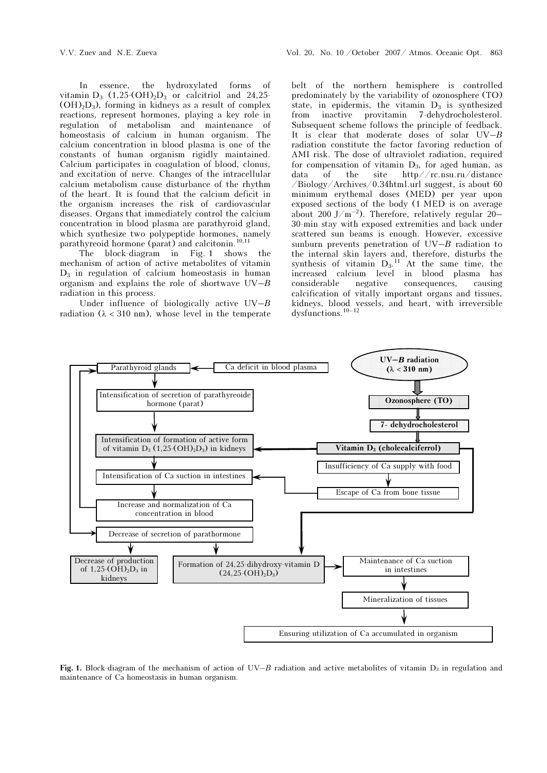In essence, the hydroxylated forms of vitamin  $D_3$  (1,25-(OH)<sub>2</sub> $D_3$  or calcitriol and 24,25- $(OH)<sub>2</sub>D<sub>3</sub>$ , forming in kidneys as a result of complex reactions, represent hormones, playing a key role in regulation of metabolism and maintenance of homeostasis of calcium in human organism. The calcium concentration in blood plasma is one of the constants of human organism rigidly maintained. Calcium participates in coagulation of blood, clonus, and excitation of nerve. Changes of the intracellular calcium metabolism cause disturbance of the rhythm of the heart. It is found that the calcium deficit in the organism increases the risk of cardiovascular diseases. Organs that immediately control the calcium concentration in blood plasma are parathyroid gland, which synthesize two polypeptide hormones, namely parathyreoid hormone (parat) and calcitonin.<sup>10,11</sup>

The block-diagram in Fig. 1 shows the mechanism of action of active metabolites of vitamin  $D_3$  in regulation of calcium homeostasis in human organism and explains the role of shortwave  $UV-B$ radiation in this process.

Under influence of biologically active  $UV-B$ radiation  $(\lambda < 310 \text{ nm})$ , whose level in the temperate belt of the northern hemisphere is controlled predominately by the variability of ozonosphere (TO) state, in epidermis, the vitamin  $D_3$  is synthesized from inactive provitamin 7-dehydrocholesterol. Subsequent scheme follows the principle of feedback. It is clear that moderate doses of solar  $UV-B$ radiation constitute the factor favoring reduction of AMI risk. The dose of ultraviolet radiation, required for compensation of vitamin  $D_3$ , for aged human, as data of the site http//rc.nsu.ru/distance /Biology/Archives/0.34html.url suggest, is about 60 minimum erythemal doses (MED) per year upon exposed sections of the body (1 MED is on average about 200 J/m<sup>-2</sup>). Therefore, relatively regular 20– 30-min stay with exposed extremities and back under scattered sun beams is enough. However, excessive sunburn prevents penetration of  $UV-B$  radiation to the internal skin layers and, therefore, disturbs the synthesis of vitamin  $D_3$ .<sup>11</sup> At the same time, the increased calcium level in blood plasma has considerable negative consequences, causing calcification of vitally important organs and tissues, kidneys, blood vessels, and heart, with irreversible dysfunctions.10–12



Fig. 1. Block-diagram of the mechanism of action of UV–B radiation and active metabolites of vitamin  $D_3$  in regulation and maintenance of Ca homeostasis in human organism.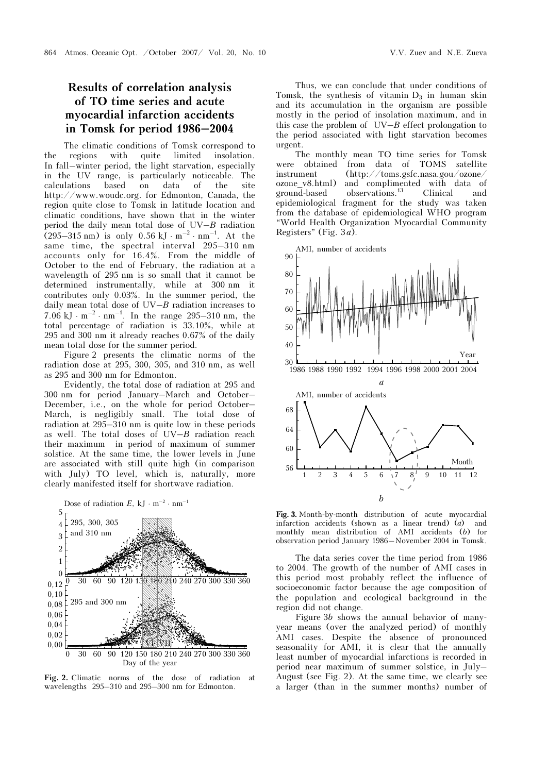# Results of correlation analysis of TO time series and acute myocardial infarction accidents in Tomsk for period 1986–2004

The climatic conditions of Tomsk correspond to the regions with quite limited insolation. In fall–winter period, the light starvation, especially in the UV range, is particularly noticeable. The calculations based on data of the site http://www.woudc.org. for Edmonton, Canada, the region quite close to Tomsk in latitude location and climatic conditions, have shown that in the winter period the daily mean total dose of  $UV-B$  radiation  $(295-315 \text{ nm})$  is only  $0.56 \text{ kJ} \cdot \text{m}^{-2} \cdot \text{nm}^{-1}$ . At the same time, the spectral interval 295–310 nm accounts only for 16.4%. From the middle of October to the end of February, the radiation at a wavelength of 295 nm is so small that it cannot be determined instrumentally, while at 300 nm it contributes only 0.03%. In the summer period, the daily mean total dose of  $UV-B$  radiation increases to 7.06 kJ  $\cdot$  m<sup>-2</sup> $\cdot$  nm<sup>-1</sup>. In the range 295–310 nm, the total percentage of radiation is 33.10%, while at 295 and 300 nm it already reaches 0.67% of the daily mean total dose for the summer period.

Figure 2 presents the climatic norms of the radiation dose at 295, 300, 305, and 310 nm, as well as 295 and 300 nm for Edmonton.

Evidently, the total dose of radiation at 295 and 300 nm for period January–March and October– December, i.e., on the whole for period October– March, is negligibly small. The total dose of radiation at 295–310 nm is quite low in these periods as well. The total doses of  $UV-B$  radiation reach their maximum in period of maximum of summer solstice. At the same time, the lower levels in June are associated with still quite high (in comparison with July) TO level, which is, naturally, more clearly manifested itself for shortwave radiation.



Fig. 2. Climatic norms of the dose of radiation at wavelengths 295–310 and 295–300 nm for Edmonton.

Thus, we can conclude that under conditions of Tomsk, the synthesis of vitamin  $D_3$  in human skin and its accumulation in the organism are possible mostly in the period of insolation maximum, and in this case the problem of  $UV-B$  effect prolongation to the period associated with light starvation becomes urgent.

The monthly mean TO time series for Tomsk were obtained from data of TOMS satellite instrument (http://toms.gsfc.nasa.gou/ozone/ ozone v8.html) and complimented with data of ground-based observations.<sup>13</sup> Clinical and epidemiological fragment for the study was taken from the database of epidemiological WHO program "World Health Organization Myocardial Community Registers" (Fig.  $3a$ ).



Fig. 3. Month-by-month distribution of acute myocardial infarction accidents (shown as a linear trend) (a) and monthly mean distribution of AMI accidents (b) for observation period January 1986–November 2004 in Tomsk.

The data series cover the time period from 1986 to 2004. The growth of the number of AMI cases in this period most probably reflect the influence of socioeconomic factor because the age composition of the population and ecological background in the region did not change.

Figure 3b shows the annual behavior of manyyear means (over the analyzed period) of monthly AMI cases. Despite the absence of pronounced seasonality for AMI, it is clear that the annually least number of myocardial infarctions is recorded in period near maximum of summer solstice, in July– August (see Fig. 2). At the same time, we clearly see a larger (than in the summer months) number of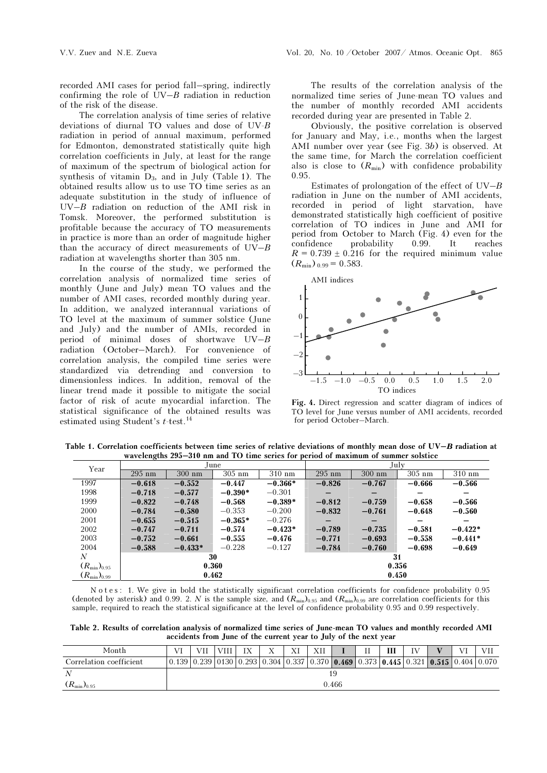recorded AMI cases for period fall–spring, indirectly confirming the role of  $UV-B$  radiation in reduction of the risk of the disease.

The correlation analysis of time series of relative deviations of diurnal TO values and dose of UV-B radiation in period of annual maximum, performed for Edmonton, demonstrated statistically quite high correlation coefficients in July, at least for the range of maximum of the spectrum of biological action for synthesis of vitamin  $D_3$ , and in July (Table 1). The obtained results allow us to use TO time series as an adequate substitution in the study of influence of  $UV-B$  radiation on reduction of the AMI risk in Tomsk. Moreover, the performed substitution is profitable because the accuracy of TO measurements in practice is more than an order of magnitude higher than the accuracy of direct measurements of UV–Â radiation at wavelengths shorter than 305 nm.

In the course of the study, we performed the correlation analysis of normalized time series of monthly (June and July) mean TO values and the number of AMI cases, recorded monthly during year. In addition, we analyzed interannual variations of TO level at the maximum of summer solstice (June and July) and the number of AMIs, recorded in period of minimal doses of shortwave UV–Â radiation (October–March). For convenience of correlation analysis, the compiled time series were standardized via detrending and conversion to dimensionless indices. In addition, removal of the linear trend made it possible to mitigate the social factor of risk of acute myocardial infarction. The statistical significance of the obtained results was estimated using Student's  $t$ -test.<sup>14</sup>

The results of the correlation analysis of the normalized time series of June-mean TO values and the number of monthly recorded AMI accidents recorded during year are presented in Table 2.

Obviously, the positive correlation is observed for January and May, i.e., months when the largest AMI number over year (see Fig. 3b) is observed. At the same time, for March the correlation coefficient also is close to  $(R_{\min})$  with confidence probability 0.95.

Estimates of prolongation of the effect of  $UV-B$ radiation in June on the number of AMI accidents, recorded in period of light starvation, have demonstrated statistically high coefficient of positive correlation of TO indices in June and AMI for period from October to March (Fig. 4) even for the confidence probability 0.99. It reaches  $R = 0.739 \pm 0.216$  for the required minimum value  $(R_{\text{min}})_{0.99} = 0.583.$ 



Fig. 4. Direct regression and scatter diagram of indices of TO level for June versus number of AMI accidents, recorded for period October–March.

Table 1. Correlation coefficients between time series of relative deviations of monthly mean dose of  $UV-B$  radiation at wavelengths 295–310 nm and TO time series for period of maximum of summer solstice

| Year                   |          |           | June      |           | July     |                 |          |                          |  |  |  |
|------------------------|----------|-----------|-----------|-----------|----------|-----------------|----------|--------------------------|--|--|--|
|                        | $295$ nm | $300$ nm  | $305$ nm  | $310$ nm  | $295$ nm | $300$ nm        | $305$ nm | $310$ nm                 |  |  |  |
| 1997                   | $-0.618$ | $-0.552$  | $-0.447$  | $-0.366*$ | $-0.826$ | $-0.767$        | $-0.666$ | $-0.566$                 |  |  |  |
| 1998                   | $-0.718$ | $-0.577$  | $-0.390*$ | $-0.301$  |          |                 |          |                          |  |  |  |
| 1999                   | $-0.822$ | $-0.748$  | $-0.568$  | $-0.389*$ | $-0.812$ | $-0.759$        | $-0.658$ | $-0.566$                 |  |  |  |
| 2000                   | $-0.784$ | $-0.580$  | $-0.353$  | $-0.200$  | $-0.832$ | $-0.761$        | $-0.648$ | $-0.560$                 |  |  |  |
| 2001                   | $-0.655$ | $-0.515$  | $-0.365*$ | $-0.276$  |          | $\qquad \qquad$ |          | $\overline{\phantom{0}}$ |  |  |  |
| 2002                   | $-0.747$ | $-0.711$  | $-0.574$  | $-0.423*$ | $-0.789$ | $-0.735$        | $-0.581$ | $-0.422*$                |  |  |  |
| 2003                   | $-0.752$ | $-0.661$  | $-0.555$  | $-0.476$  | $-0.771$ | $-0.693$        | $-0.558$ | $-0.441*$                |  |  |  |
| 2004                   | $-0.588$ | $-0.433*$ | $-0.228$  | $-0.127$  | $-0.784$ | $-0.760$        | $-0.698$ | $-0.649$                 |  |  |  |
| N                      |          |           | 30        |           | 31       |                 |          |                          |  |  |  |
| $(R_{\rm min})_{0.95}$ |          |           | 0.360     |           | 0.356    |                 |          |                          |  |  |  |
| $(R_{\rm min})_{0.99}$ |          |           | 0.462     |           | 0.450    |                 |          |                          |  |  |  |

N o t e s: 1. We give in bold the statistically significant correlation coefficients for confidence probability 0.95 (denoted by asterisk) and 0.99. 2. N is the sample size, and  $(R_{\text{min}})_{0.95}$  and  $(R_{\text{min}})_{0.99}$  are correlation coefficients for this sample, required to reach the statistical significance at the level of confidence probability 0.95 and 0.99 respectively.

Table 2. Results of correlation analysis of normalized time series of June-mean TO values and monthly recorded AMI accidents from June of the current year to July of the next year

| Month                   | VI    | -11 | VIII | T V | $\mathbf{x}$ | <b>TT</b><br>Λl                                                                                                                                       | XН |  | <b>TT</b> | Ш | $\mathbf{U}$ |  | T/T |  |
|-------------------------|-------|-----|------|-----|--------------|-------------------------------------------------------------------------------------------------------------------------------------------------------|----|--|-----------|---|--------------|--|-----|--|
| Correlation coefficient |       |     |      |     |              | $0.139 \mid 0.239 \mid 0130 \mid 0.293 \mid 0.304 \mid 0.337 \mid 0.370 \mid 0.469 \mid 0.373 \mid 0.445 \mid 0.321 \mid 0.515 \mid 0.404 \mid 0.070$ |    |  |           |   |              |  |     |  |
|                         | 19    |     |      |     |              |                                                                                                                                                       |    |  |           |   |              |  |     |  |
| $(R_{\rm min})_{0.95}$  | 0.466 |     |      |     |              |                                                                                                                                                       |    |  |           |   |              |  |     |  |